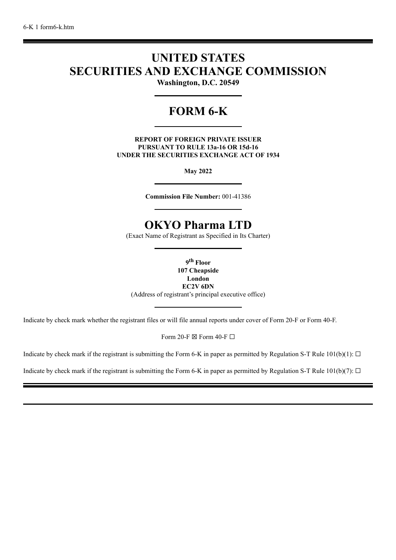# **UNITED STATES SECURITIES AND EXCHANGE COMMISSION**

**Washington, D.C. 20549**

# **FORM 6-K**

**REPORT OF FOREIGN PRIVATE ISSUER PURSUANT TO RULE 13a-16 OR 15d-16 UNDER THE SECURITIES EXCHANGE ACT OF 1934**

**May 2022**

**Commission File Number:** 001-41386

# **OKYO Pharma LTD**

(Exact Name of Registrant as Specified in Its Charter)

**9 th Floor**

**107 Cheapside London EC2V 6DN** (Address of registrant's principal executive office)

Indicate by check mark whether the registrant files or will file annual reports under cover of Form 20-F or Form 40-F.

Form 20-F  $\boxtimes$  Form 40-F  $\Box$ 

Indicate by check mark if the registrant is submitting the Form 6-K in paper as permitted by Regulation S-T Rule 101(b)(1):  $\Box$ 

Indicate by check mark if the registrant is submitting the Form 6-K in paper as permitted by Regulation S-T Rule 101(b)(7):  $\Box$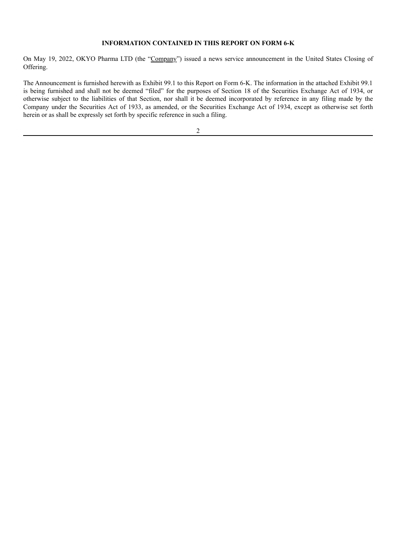#### **INFORMATION CONTAINED IN THIS REPORT ON FORM 6-K**

On May 19, 2022, OKYO Pharma LTD (the "Company") issued a news service announcement in the United States Closing of Offering.

The Announcement is furnished herewith as Exhibit 99.1 to this Report on Form 6-K. The information in the attached Exhibit 99.1 is being furnished and shall not be deemed "filed" for the purposes of Section 18 of the Securities Exchange Act of 1934, or otherwise subject to the liabilities of that Section, nor shall it be deemed incorporated by reference in any filing made by the Company under the Securities Act of 1933, as amended, or the Securities Exchange Act of 1934, except as otherwise set forth herein or as shall be expressly set forth by specific reference in such a filing.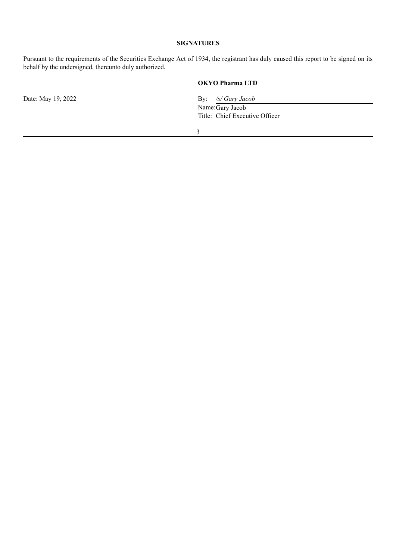### **SIGNATURES**

Pursuant to the requirements of the Securities Exchange Act of 1934, the registrant has duly caused this report to be signed on its behalf by the undersigned, thereunto duly authorized.

### **OKYO Pharma LTD**

Date: May 19, 2022 **By:** */s/ Gary Jacob* 

Name:Gary Jacob Title: Chief Executive Officer